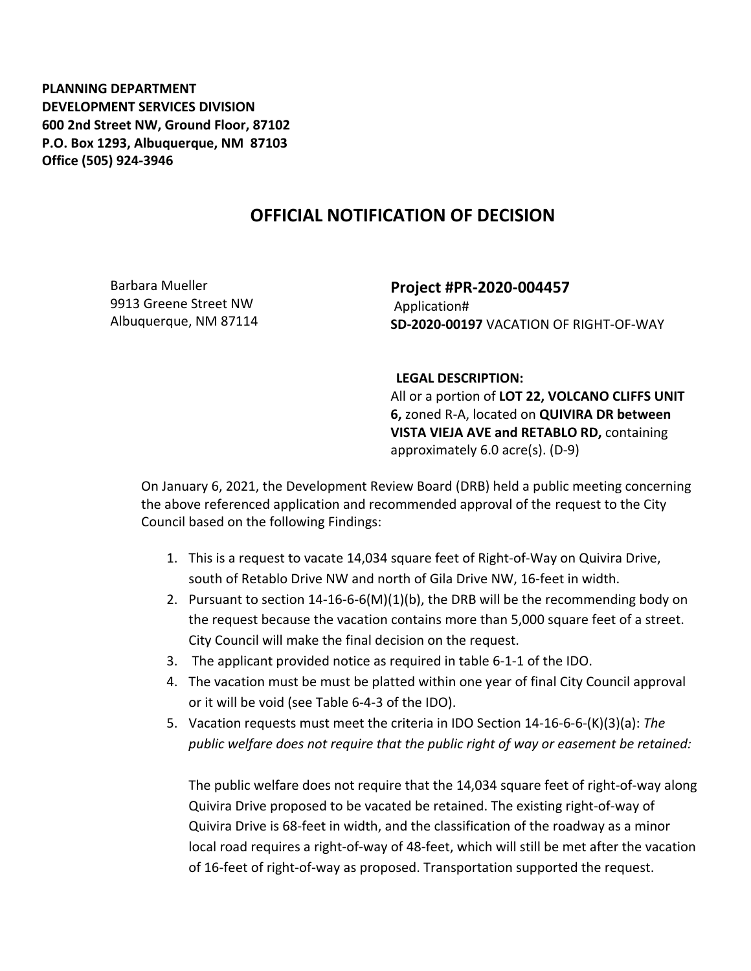**PLANNING DEPARTMENT DEVELOPMENT SERVICES DIVISION 600 2nd Street NW, Ground Floor, 87102 P.O. Box 1293, Albuquerque, NM 87103 Office (505) 924-3946** 

## **OFFICIAL NOTIFICATION OF DECISION**

Barbara Mueller 9913 Greene Street NW Albuquerque, NM 87114 **Project #PR-2020-004457** Application# **SD-2020-00197** VACATION OF RIGHT-OF-WAY

## **LEGAL DESCRIPTION:**

All or a portion of **LOT 22, VOLCANO CLIFFS UNIT 6,** zoned R-A, located on **QUIVIRA DR between VISTA VIEJA AVE and RETABLO RD,** containing approximately 6.0 acre(s). (D-9)

On January 6, 2021, the Development Review Board (DRB) held a public meeting concerning the above referenced application and recommended approval of the request to the City Council based on the following Findings:

- 1. This is a request to vacate 14,034 square feet of Right-of-Way on Quivira Drive, south of Retablo Drive NW and north of Gila Drive NW, 16-feet in width.
- 2. Pursuant to section 14-16-6-6(M)(1)(b), the DRB will be the recommending body on the request because the vacation contains more than 5,000 square feet of a street. City Council will make the final decision on the request.
- 3. The applicant provided notice as required in table 6-1-1 of the IDO.
- 4. The vacation must be must be platted within one year of final City Council approval or it will be void (see Table 6-4-3 of the IDO).
- 5. Vacation requests must meet the criteria in IDO Section 14-16-6-6-(K)(3)(a): *The public welfare does not require that the public right of way or easement be retained:*

The public welfare does not require that the 14,034 square feet of right-of-way along Quivira Drive proposed to be vacated be retained. The existing right-of-way of Quivira Drive is 68-feet in width, and the classification of the roadway as a minor local road requires a right-of-way of 48-feet, which will still be met after the vacation of 16-feet of right-of-way as proposed. Transportation supported the request.